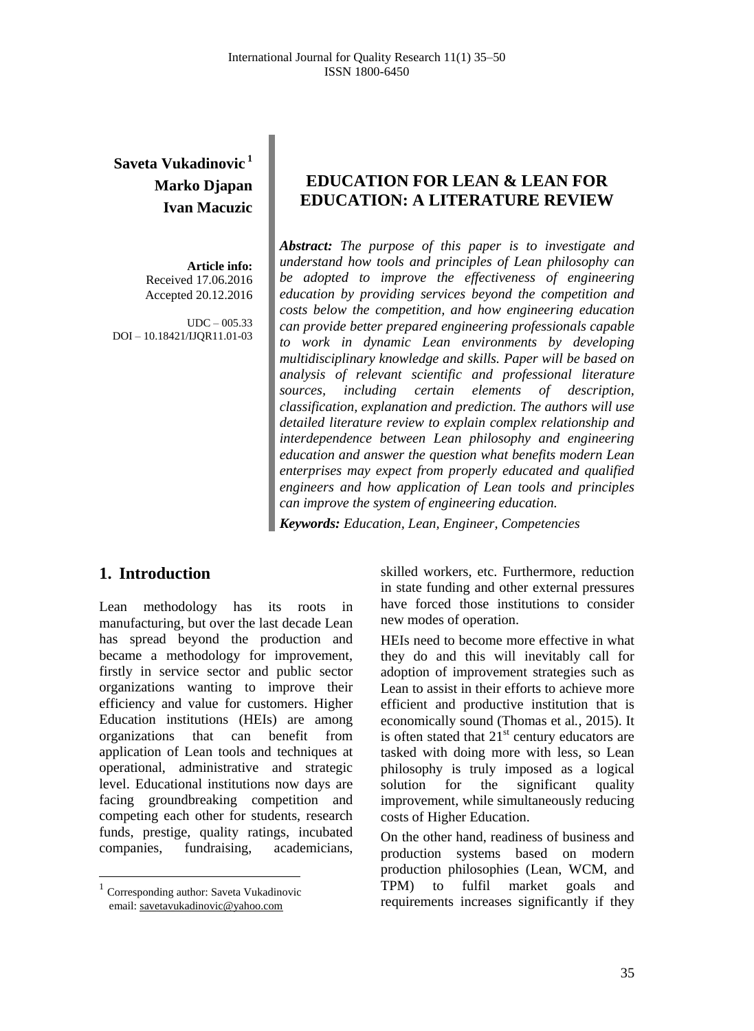# **Saveta Vukadinovic <sup>1</sup> Marko Djapan Ivan Macuzic**

**Article info:** Received 17.06.2016 Accepted 20.12.2016

 $UDC - 005.33$ DOI – 10.18421/IJQR11.01-03

## **EDUCATION FOR LEAN & LEAN FOR EDUCATION: A LITERATURE REVIEW**

*Abstract: The purpose of this paper is to investigate and understand how tools and principles of Lean philosophy can be adopted to improve the effectiveness of engineering education by providing services beyond the competition and costs below the competition, and how engineering education can provide better prepared engineering professionals capable to work in dynamic Lean environments by developing multidisciplinary knowledge and skills. Paper will be based on analysis of relevant scientific and professional literature sources, including certain elements of description, classification, explanation and prediction. The authors will use detailed literature review to explain complex relationship and interdependence between Lean philosophy and engineering education and answer the question what benefits modern Lean enterprises may expect from properly educated and qualified engineers and how application of Lean tools and principles can improve the system of engineering education.*

*Keywords: Education, Lean, Engineer, Competencies*

## **1. Introduction<sup>1</sup>**

Lean methodology has its roots in manufacturing, but over the last decade Lean has spread beyond the production and became a methodology for improvement, firstly in service sector and public sector organizations wanting to improve their efficiency and value for customers. Higher Education institutions (HEIs) are among organizations that can benefit from application of Lean tools and techniques at operational, administrative and strategic level. Educational institutions now days are facing groundbreaking competition and competing each other for students, research funds, prestige, quality ratings, incubated companies, fundraising, academicians,

 $\overline{a}$ 

skilled workers, etc. Furthermore, reduction in state funding and other external pressures have forced those institutions to consider new modes of operation.

HEIs need to become more effective in what they do and this will inevitably call for adoption of improvement strategies such as Lean to assist in their efforts to achieve more efficient and productive institution that is economically sound (Thomas et al*.*, 2015). It is often stated that  $21<sup>st</sup>$  century educators are tasked with doing more with less, so Lean philosophy is truly imposed as a logical solution for the significant quality improvement, while simultaneously reducing costs of Higher Education.

On the other hand, readiness of business and production systems based on modern production philosophies (Lean, WCM, and TPM) to fulfil market goals and requirements increases significantly if they

<sup>&</sup>lt;sup>1</sup> Corresponding author: Saveta Vukadinovic email: [savetavukadinovic@yahoo.com](mailto:savetavukadinovic@yahoo.com)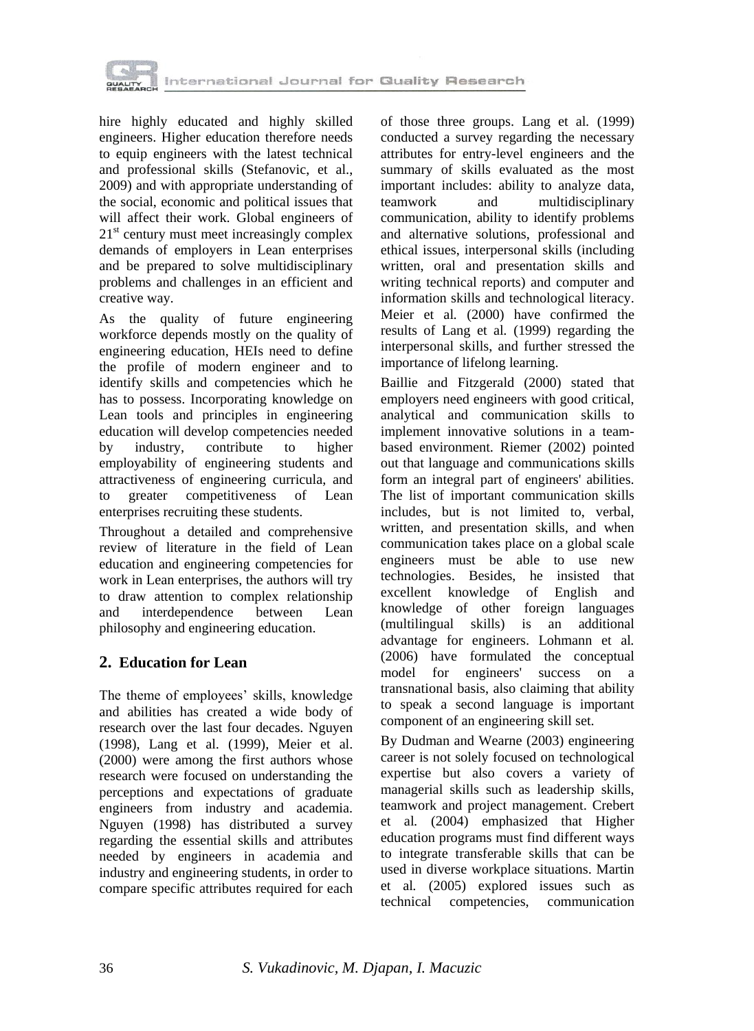

hire highly educated and highly skilled engineers. Higher education therefore needs to equip engineers with the latest technical and professional skills (Stefanovic, et al., 2009) and with appropriate understanding of the social, economic and political issues that will affect their work. Global engineers of  $21<sup>st</sup>$  century must meet increasingly complex demands of employers in Lean enterprises and be prepared to solve multidisciplinary problems and challenges in an efficient and creative way.

As the quality of future engineering workforce depends mostly on the quality of engineering education, HEIs need to define the profile of modern engineer and to identify skills and competencies which he has to possess. Incorporating knowledge on Lean tools and principles in engineering education will develop competencies needed by industry, contribute to higher employability of engineering students and attractiveness of engineering curricula, and to greater competitiveness of Lean enterprises recruiting these students.

Throughout a detailed and comprehensive review of literature in the field of Lean education and engineering competencies for work in Lean enterprises, the authors will try to draw attention to complex relationship and interdependence between Lean philosophy and engineering education.

## **2. Education for Lean**

The theme of employees' skills, knowledge and abilities has created a wide body of research over the last four decades. Nguyen (1998), Lang et al. (1999), Meier et al. (2000) were among the first authors whose research were focused on understanding the perceptions and expectations of graduate engineers from industry and academia. Nguyen (1998) has distributed a survey regarding the essential skills and attributes needed by engineers in academia and industry and engineering students, in order to compare specific attributes required for each

of those three groups. Lang et al*.* (1999) conducted a survey regarding the necessary attributes for entry-level engineers and the summary of skills evaluated as the most important includes: ability to analyze data, teamwork and multidisciplinary communication, ability to identify problems and alternative solutions, professional and ethical issues, interpersonal skills (including written, oral and presentation skills and writing technical reports) and computer and information skills and technological literacy. Meier et al*.* (2000) have confirmed the results of Lang et al*.* (1999) regarding the interpersonal skills, and further stressed the importance of lifelong learning.

Baillie and Fitzgerald (2000) stated that employers need engineers with good critical, analytical and communication skills to implement innovative solutions in a teambased environment. Riemer (2002) pointed out that language and communications skills form an integral part of engineers' abilities. The list of important communication skills includes, but is not limited to, verbal, written, and presentation skills, and when communication takes place on a global scale engineers must be able to use new technologies. Besides, he insisted that excellent knowledge of English and knowledge of other foreign languages (multilingual skills) is an additional advantage for engineers. Lohmann et al*.*  (2006) have formulated the conceptual model for engineers' success on a transnational basis, also claiming that ability to speak a second language is important component of an engineering skill set.

By Dudman and Wearne (2003) engineering career is not solely focused on technological expertise but also covers a variety of managerial skills such as leadership skills, teamwork and project management. Crebert et al*.* (2004) emphasized that Higher education programs must find different ways to integrate transferable skills that can be used in diverse workplace situations. Martin et al*.* (2005) explored issues such as technical competencies, communication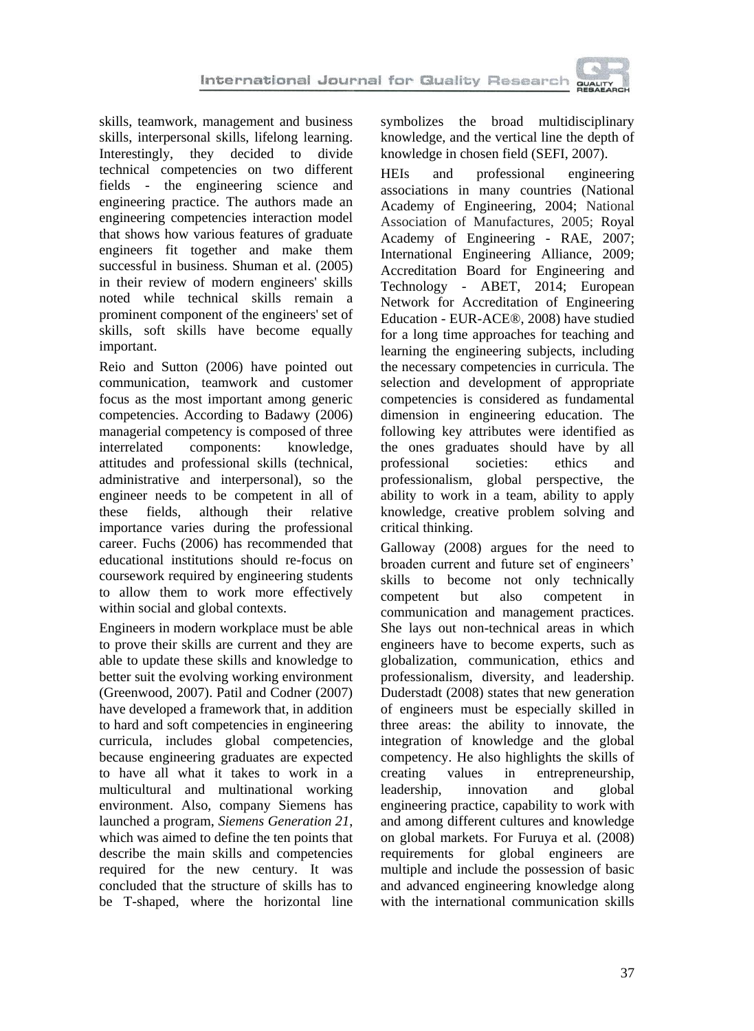skills, teamwork, management and business skills, interpersonal skills, lifelong learning.<br>Interestingly, they decided to divide they decided to technical competencies on two different fields - the engineering science and engineering practice. The authors made an engineering competencies interaction model that shows how various features of graduate engineers fit together and make them successful in business. Shuman et al. (2005) in their review of modern engineers' skills noted while technical skills remain a prominent component of the engineers' set of skills, soft skills have become equally important.

Reio and Sutton (2006) have pointed out communication, teamwork and customer focus as the most important among generic competencies. According to Badawy (2006) managerial competency is composed of three interrelated components: knowledge, attitudes and professional skills (technical, administrative and interpersonal), so the engineer needs to be competent in all of<br>these fields, although their relative these fields, although their importance varies during the professional career. Fuchs (2006) has recommended that educational institutions should re-focus on coursework required by engineering students to allow them to work more effectively within social and global contexts.

Engineers in modern workplace must be able to prove their skills are current and they are able to update these skills and knowledge to better suit the evolving working environment (Greenwood, 2007). Patil and Codner (2007) have developed a framework that, in addition to hard and soft competencies in engineering curricula, includes global competencies, because engineering graduates are expected to have all what it takes to work in a multicultural and multinational working environment. Also, company Siemens has launched a program, *Siemens Generation 21*, which was aimed to define the ten points that describe the main skills and competencies required for the new century. It was concluded that the structure of skills has to be T-shaped, where the horizontal line

symbolizes the broad multidisciplinary knowledge, and the vertical line the depth of knowledge in chosen field (SEFI, 2007).

HEIs and professional engineering associations in many countries (National Academy of Engineering, 2004; National Association of Manufactures, 2005; Royal Academy of Engineering - RAE, 2007; International Engineering Alliance, 2009; Accreditation Board for Engineering and Technology - ABET, 2014; European Network for Accreditation of Engineering Education - EUR-ACE®, 2008) have studied for a long time approaches for teaching and learning the engineering subjects, including the necessary competencies in curricula. The selection and development of appropriate competencies is considered as fundamental dimension in engineering education. The following key attributes were identified as the ones graduates should have by all professional societies: ethics and professionalism, global perspective, the ability to work in a team, ability to apply knowledge, creative problem solving and critical thinking.

Galloway (2008) argues for the need to broaden current and future set of engineers' skills to become not only technically competent but also competent in communication and management practices. She lays out non-technical areas in which engineers have to become experts, such as globalization, communication, ethics and professionalism, diversity, and leadership. Duderstadt (2008) states that new generation of engineers must be especially skilled in three areas: the ability to innovate, the integration of knowledge and the global competency. He also highlights the skills of creating values in entrepreneurship, leadership, innovation and global engineering practice, capability to work with and among different cultures and knowledge on global markets. For Furuya et al*.* (2008) requirements for global engineers are multiple and include the possession of basic and advanced engineering knowledge along with the international communication skills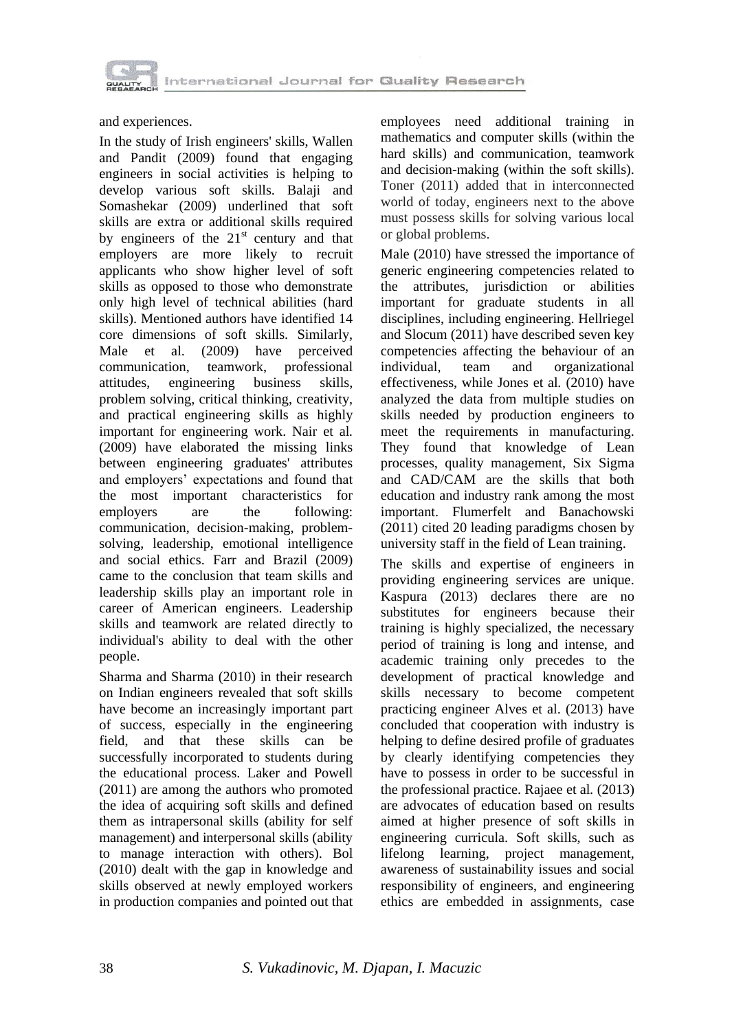

and experiences.

In the study of Irish engineers' skills, Wallen and Pandit (2009) found that engaging engineers in social activities is helping to develop various soft skills. Balaji and Somashekar (2009) underlined that soft skills are extra or additional skills required by engineers of the  $21<sup>st</sup>$  century and that employers are more likely to recruit applicants who show higher level of soft skills as opposed to those who demonstrate only high level of technical abilities (hard skills). Mentioned authors have identified 14 core dimensions of soft skills. Similarly, Male et al. (2009) have perceived communication, teamwork, professional attitudes, engineering business skills, problem solving, critical thinking, creativity, and practical engineering skills as highly important for engineering work. Nair et al*.* (2009) have elaborated the missing links between engineering graduates' attributes and employers' expectations and found that the most important characteristics for employers are the following: communication, decision-making, problemsolving, leadership, emotional intelligence and social ethics. Farr and Brazil (2009) came to the conclusion that team skills and leadership skills play an important role in career of American engineers. Leadership skills and teamwork are related directly to individual's ability to deal with the other people.

Sharma and Sharma (2010) in their research on Indian engineers revealed that soft skills have become an increasingly important part of success, especially in the engineering field, and that these skills can be successfully incorporated to students during the educational process. Laker and Powell (2011) are among the authors who promoted the idea of acquiring soft skills and defined them as intrapersonal skills (ability for self management) and interpersonal skills (ability to manage interaction with others). Bol (2010) dealt with the gap in knowledge and skills observed at newly employed workers in production companies and pointed out that employees need additional training in mathematics and computer skills (within the hard skills) and communication, teamwork and decision-making (within the soft skills). Toner (2011) added that in interconnected world of today, engineers next to the above must possess skills for solving various local or global problems.

Male (2010) have stressed the importance of generic engineering competencies related to the attributes, jurisdiction or abilities important for graduate students in all disciplines, including engineering. Hellriegel and Slocum (2011) have described seven key competencies affecting the behaviour of an individual, team and organizational effectiveness, while Jones et al*.* (2010) have analyzed the data from multiple studies on skills needed by production engineers to meet the requirements in manufacturing. They found that knowledge of Lean processes, quality management, Six Sigma and CAD/CAM are the skills that both education and industry rank among the most important. Flumerfelt and Banachowski (2011) cited 20 leading paradigms chosen by university staff in the field of Lean training.

The skills and expertise of engineers in providing engineering services are unique. Kaspura (2013) declares there are no substitutes for engineers because their training is highly specialized, the necessary period of training is long and intense, and academic training only precedes to the development of practical knowledge and skills necessary to become competent practicing engineer Alves et al. (2013) have concluded that cooperation with industry is helping to define desired profile of graduates by clearly identifying competencies they have to possess in order to be successful in the professional practice. Rajaee et al*.* (2013) are advocates of education based on results aimed at higher presence of soft skills in engineering curricula. Soft skills, such as lifelong learning, project management, awareness of sustainability issues and social responsibility of engineers, and engineering ethics are embedded in assignments, case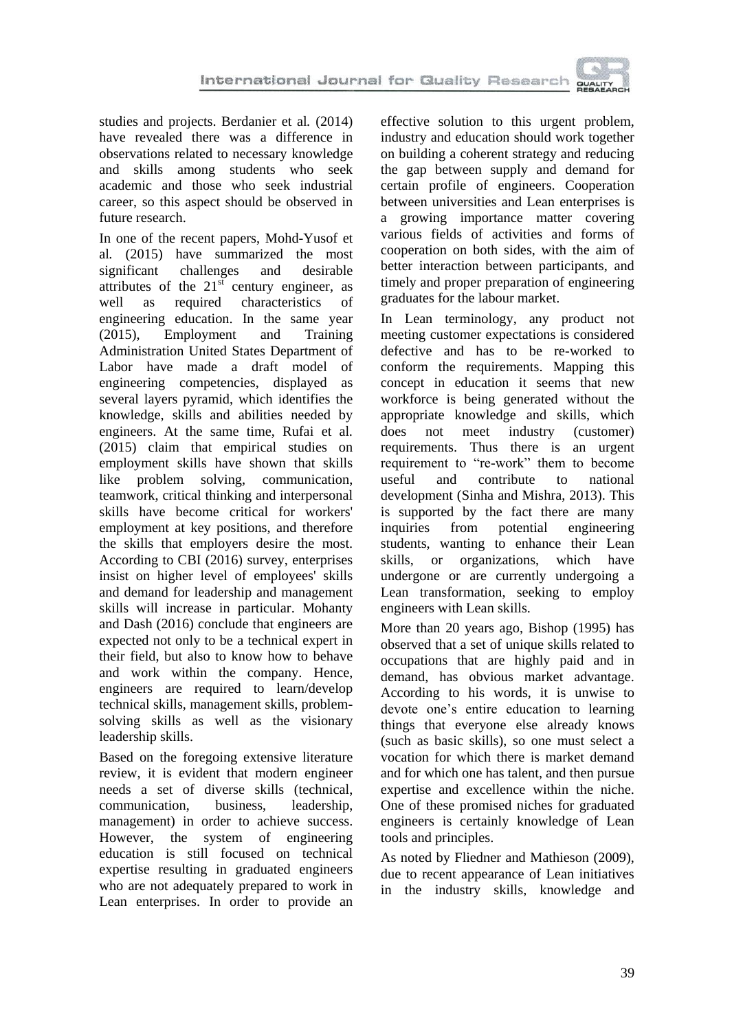

studies and projects. Berdanier et al*.* (2014) have revealed there was a difference in observations related to necessary knowledge and skills among students who seek academic and those who seek industrial career, so this aspect should be observed in future research.

In one of the recent papers, Mohd-Yusof et al*.* (2015) have summarized the most significant challenges and desirable attributes of the  $21<sup>st</sup>$  century engineer, as well as required characteristics of engineering education. In the same year (2015), Employment and Training Administration United States Department of Labor have made a draft model of engineering competencies, displayed as several layers pyramid, which identifies the knowledge, skills and abilities needed by engineers. At the same time, Rufai et al*.*  (2015) claim that empirical studies on employment skills have shown that skills like problem solving, communication, teamwork, critical thinking and interpersonal skills have become critical for workers' employment at key positions, and therefore the skills that employers desire the most. According to CBI (2016) survey, enterprises insist on higher level of employees' skills and demand for leadership and management skills will increase in particular. Mohanty and Dash (2016) conclude that engineers are expected not only to be a technical expert in their field, but also to know how to behave and work within the company. Hence, engineers are required to learn/develop technical skills, management skills, problemsolving skills as well as the visionary leadership skills.

Based on the foregoing extensive literature review, it is evident that modern engineer needs a set of diverse skills (technical, communication, business, leadership, management) in order to achieve success. However, the system of engineering education is still focused on technical expertise resulting in graduated engineers who are not adequately prepared to work in Lean enterprises. In order to provide an effective solution to this urgent problem, industry and education should work together on building a coherent strategy and reducing the gap between supply and demand for certain profile of engineers. Cooperation between universities and Lean enterprises is a growing importance matter covering various fields of activities and forms of cooperation on both sides, with the aim of better interaction between participants, and timely and proper preparation of engineering graduates for the labour market.

In Lean terminology, any product not meeting customer expectations is considered defective and has to be re-worked to conform the requirements. Mapping this concept in education it seems that new workforce is being generated without the appropriate knowledge and skills, which does not meet industry (customer) requirements. Thus there is an urgent requirement to "re-work" them to become useful and contribute to national development (Sinha and Mishra, 2013). This is supported by the fact there are many inquiries from potential engineering students, wanting to enhance their Lean skills, or organizations, which have undergone or are currently undergoing a Lean transformation, seeking to employ engineers with Lean skills.

More than 20 years ago, Bishop (1995) has observed that a set of unique skills related to occupations that are highly paid and in demand, has obvious market advantage. According to his words, it is unwise to devote one's entire education to learning things that everyone else already knows (such as basic skills), so one must select a vocation for which there is market demand and for which one has talent, and then pursue expertise and excellence within the niche. One of these promised niches for graduated engineers is certainly knowledge of Lean tools and principles.

As noted by Fliedner and Mathieson (2009), due to recent appearance of Lean initiatives in the industry skills, knowledge and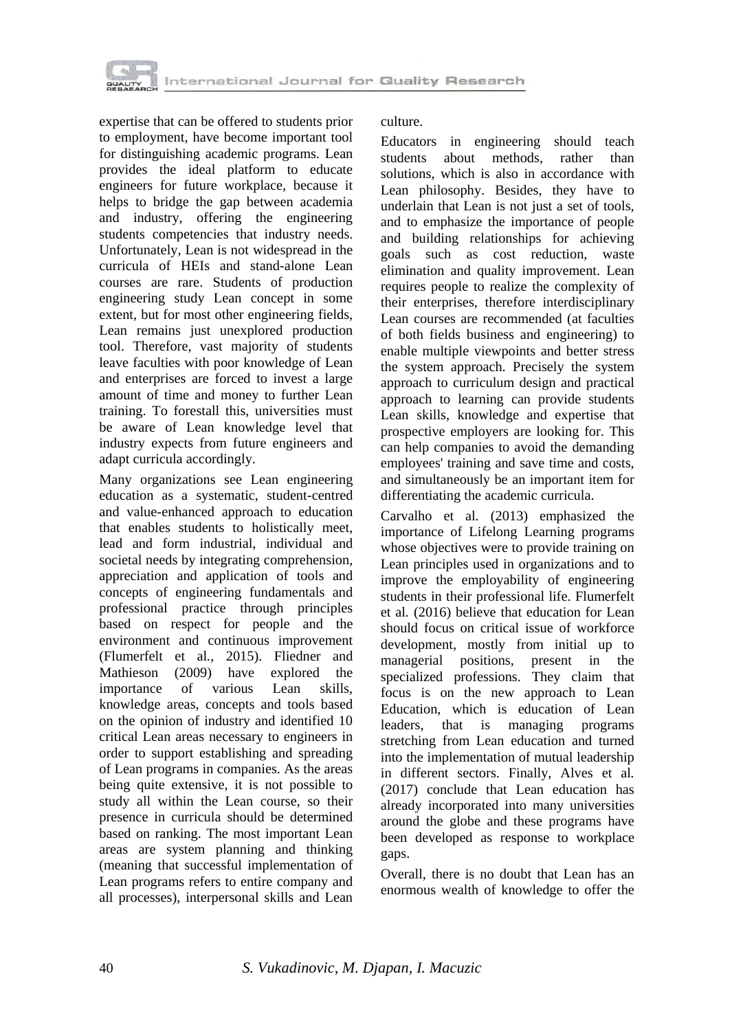

expertise that can be offered to students prior to employment, have become important tool for distinguishing academic programs. Lean provides the ideal platform to educate engineers for future workplace, because it helps to bridge the gap between academia and industry, offering the engineering students competencies that industry needs. Unfortunately, Lean is not widespread in the curricula of HEIs and stand-alone Lean courses are rare. Students of production engineering study Lean concept in some extent, but for most other engineering fields, Lean remains just unexplored production tool. Therefore, vast majority of students leave faculties with poor knowledge of Lean and enterprises are forced to invest a large amount of time and money to further Lean training. To forestall this, universities must be aware of Lean knowledge level that industry expects from future engineers and adapt curricula accordingly.

Many organizations see Lean engineering education as a systematic, student-centred and value-enhanced approach to education that enables students to holistically meet, lead and form industrial, individual and societal needs by integrating comprehension, appreciation and application of tools and concepts of engineering fundamentals and professional practice through principles based on respect for people and the environment and continuous improvement (Flumerfelt et al*.*, 2015). Fliedner and Mathieson (2009) have explored the importance of various Lean skills, knowledge areas, concepts and tools based on the opinion of industry and identified 10 critical Lean areas necessary to engineers in order to support establishing and spreading of Lean programs in companies. As the areas being quite extensive, it is not possible to study all within the Lean course, so their presence in curricula should be determined based on ranking. The most important Lean areas are system planning and thinking (meaning that successful implementation of Lean programs refers to entire company and all processes), interpersonal skills and Lean culture.

Educators in engineering should teach students about methods, rather than solutions, which is also in accordance with Lean philosophy. Besides, they have to underlain that Lean is not just a set of tools, and to emphasize the importance of people and building relationships for achieving goals such as cost reduction, waste elimination and quality improvement. Lean requires people to realize the complexity of their enterprises, therefore interdisciplinary Lean courses are recommended (at faculties of both fields business and engineering) to enable multiple viewpoints and better stress the system approach. Precisely the system approach to curriculum design and practical approach to learning can provide students Lean skills, knowledge and expertise that prospective employers are looking for. This can help companies to avoid the demanding employees' training and save time and costs, and simultaneously be an important item for differentiating the academic curricula.

Carvalho et al*.* (2013) emphasized the importance of Lifelong Learning programs whose objectives were to provide training on Lean principles used in organizations and to improve the employability of engineering students in their professional life. Flumerfelt et al*.* (2016) believe that education for Lean should focus on critical issue of workforce development, mostly from initial up to managerial positions, present in the specialized professions. They claim that focus is on the new approach to Lean Education, which is education of Lean leaders, that is managing programs stretching from Lean education and turned into the implementation of mutual leadership in different sectors. Finally, Alves et al*.* (2017) conclude that Lean education has already incorporated into many universities around the globe and these programs have been developed as response to workplace gaps.

Overall, there is no doubt that Lean has an enormous wealth of knowledge to offer the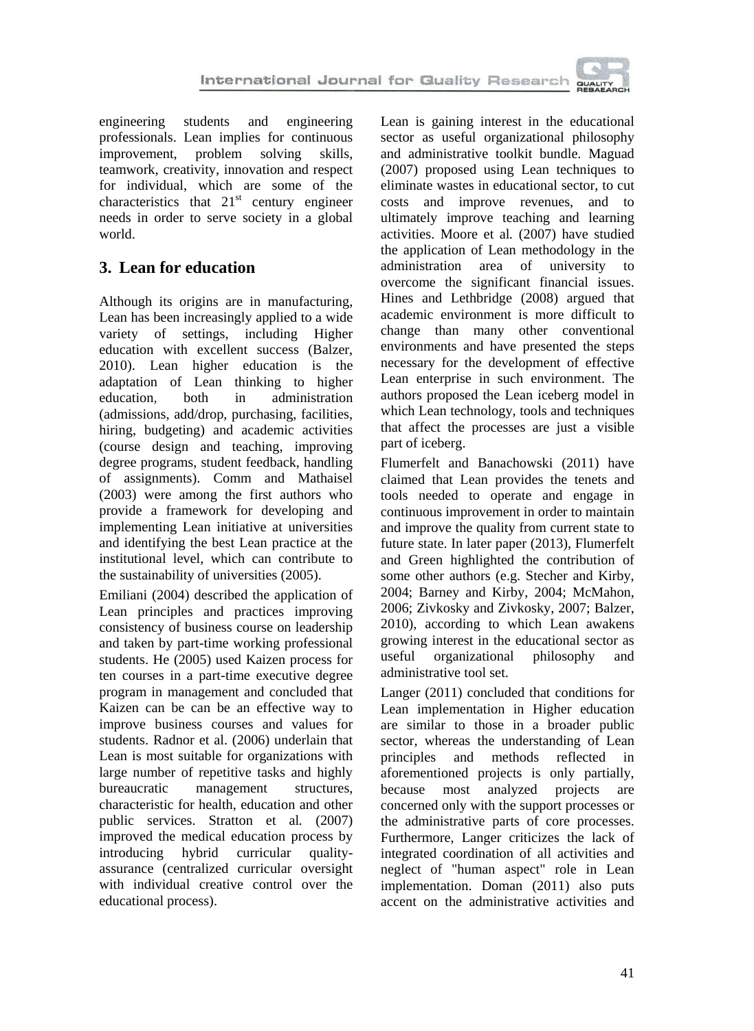

engineering students and engineering professionals. Lean implies for continuous<br>improvement, problem solving skills, improvement, problem solving skills, teamwork, creativity, innovation and respect for individual, which are some of the characteristics that  $21<sup>st</sup>$  century engineer needs in order to serve society in a global world.

## **3. Lean for education**

Although its origins are in manufacturing, Lean has been increasingly applied to a wide variety of settings, including Higher education with excellent success (Balzer, 2010). Lean higher education is the adaptation of Lean thinking to higher education, both in administration both in administration (admissions, add/drop, purchasing, facilities, hiring, budgeting) and academic activities (course design and teaching, improving degree programs, student feedback, handling of assignments). Comm and Mathaisel (2003) were among the first authors who provide a framework for developing and implementing Lean initiative at universities and identifying the best Lean practice at the institutional level, which can contribute to the sustainability of universities (2005).

Emiliani (2004) described the application of Lean principles and practices improving consistency of business course on leadership and taken by part-time working professional students. He (2005) used Kaizen process for ten courses in a part-time executive degree program in management and concluded that Kaizen can be can be an effective way to improve business courses and values for students. Radnor et al. (2006) underlain that Lean is most suitable for organizations with large number of repetitive tasks and highly bureaucratic management structures, characteristic for health, education and other public services. Stratton et al*.* (2007) improved the medical education process by introducing hybrid curricular qualityassurance (centralized curricular oversight with individual creative control over the educational process).

Lean is gaining interest in the educational sector as useful organizational philosophy and administrative toolkit bundle. Maguad (2007) proposed using Lean techniques to eliminate wastes in educational sector, to cut costs and improve revenues, and to ultimately improve teaching and learning activities. Moore et al*.* (2007) have studied the application of Lean methodology in the administration area of university to overcome the significant financial issues. Hines and Lethbridge (2008) argued that academic environment is more difficult to change than many other conventional environments and have presented the steps necessary for the development of effective Lean enterprise in such environment. The authors proposed the Lean iceberg model in which Lean technology, tools and techniques that affect the processes are just a visible part of iceberg.

Flumerfelt and Banachowski (2011) have claimed that Lean provides the tenets and tools needed to operate and engage in continuous improvement in order to maintain and improve the quality from current state to future state. In later paper (2013), Flumerfelt and Green highlighted the contribution of some other authors (e.g. Stecher and Kirby, 2004; Barney and Kirby, 2004; McMahon, 2006; Zivkosky and Zivkosky, 2007; Balzer, 2010), according to which Lean awakens growing interest in the educational sector as useful organizational philosophy and administrative tool set.

Langer (2011) concluded that conditions for Lean implementation in Higher education are similar to those in a broader public sector, whereas the understanding of Lean principles and methods reflected in aforementioned projects is only partially, because most analyzed projects are concerned only with the support processes or the administrative parts of core processes. Furthermore, Langer criticizes the lack of integrated coordination of all activities and neglect of "human aspect" role in Lean implementation. Doman (2011) also puts accent on the administrative activities and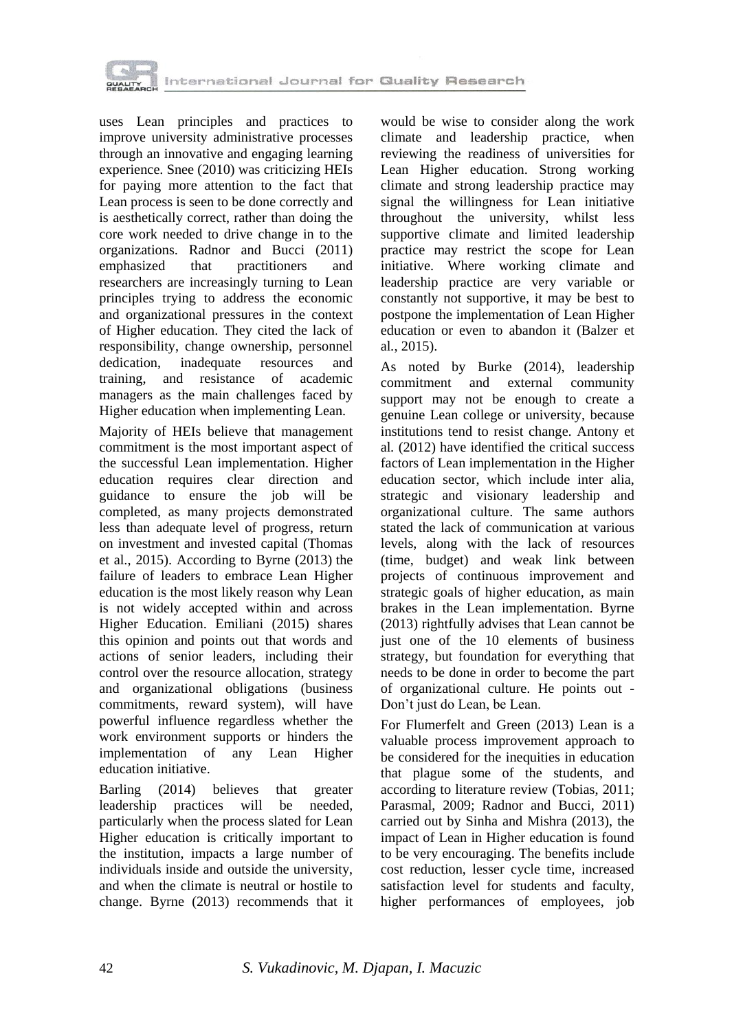

uses Lean principles and practices to improve university administrative processes through an innovative and engaging learning experience. Snee (2010) was criticizing HEIs for paying more attention to the fact that Lean process is seen to be done correctly and is aesthetically correct, rather than doing the core work needed to drive change in to the organizations. Radnor and Bucci (2011) emphasized that practitioners and researchers are increasingly turning to Lean principles trying to address the economic and organizational pressures in the context of Higher education. They cited the lack of responsibility, change ownership, personnel<br>dedication. inadequate resources and inadequate resources and training, and resistance of academic managers as the main challenges faced by Higher education when implementing Lean.

Majority of HEIs believe that management commitment is the most important aspect of the successful Lean implementation. Higher education requires clear direction and guidance to ensure the job will be completed, as many projects demonstrated less than adequate level of progress, return on investment and invested capital (Thomas et al., 2015). According to Byrne (2013) the failure of leaders to embrace Lean Higher education is the most likely reason why Lean is not widely accepted within and across Higher Education. Emiliani (2015) shares this opinion and points out that words and actions of senior leaders, including their control over the resource allocation, strategy and organizational obligations (business commitments, reward system), will have powerful influence regardless whether the work environment supports or hinders the implementation of any Lean Higher education initiative.

Barling (2014) believes that greater leadership practices will be needed, particularly when the process slated for Lean Higher education is critically important to the institution, impacts a large number of individuals inside and outside the university, and when the climate is neutral or hostile to change. Byrne (2013) recommends that it

would be wise to consider along the work climate and leadership practice, when reviewing the readiness of universities for Lean Higher education. Strong working climate and strong leadership practice may signal the willingness for Lean initiative throughout the university, whilst less supportive climate and limited leadership practice may restrict the scope for Lean initiative. Where working climate and leadership practice are very variable or constantly not supportive, it may be best to postpone the implementation of Lean Higher education or even to abandon it (Balzer et al*.*, 2015).

As noted by Burke (2014), leadership commitment and external community support may not be enough to create a genuine Lean college or university, because institutions tend to resist change. Antony et al*.* (2012) have identified the critical success factors of Lean implementation in the Higher education sector, which include inter alia, strategic and visionary leadership and organizational culture. The same authors stated the lack of communication at various levels, along with the lack of resources (time, budget) and weak link between projects of continuous improvement and strategic goals of higher education, as main brakes in the Lean implementation. Byrne (2013) rightfully advises that Lean cannot be just one of the 10 elements of business strategy, but foundation for everything that needs to be done in order to become the part of organizational culture. He points out - Don't just do Lean, be Lean.

For Flumerfelt and Green (2013) Lean is a valuable process improvement approach to be considered for the inequities in education that plague some of the students, and according to literature review (Tobias, 2011; Parasmal, 2009; Radnor and Bucci, 2011) carried out by Sinha and Mishra (2013), the impact of Lean in Higher education is found to be very encouraging. The benefits include cost reduction, lesser cycle time, increased satisfaction level for students and faculty, higher performances of employees, job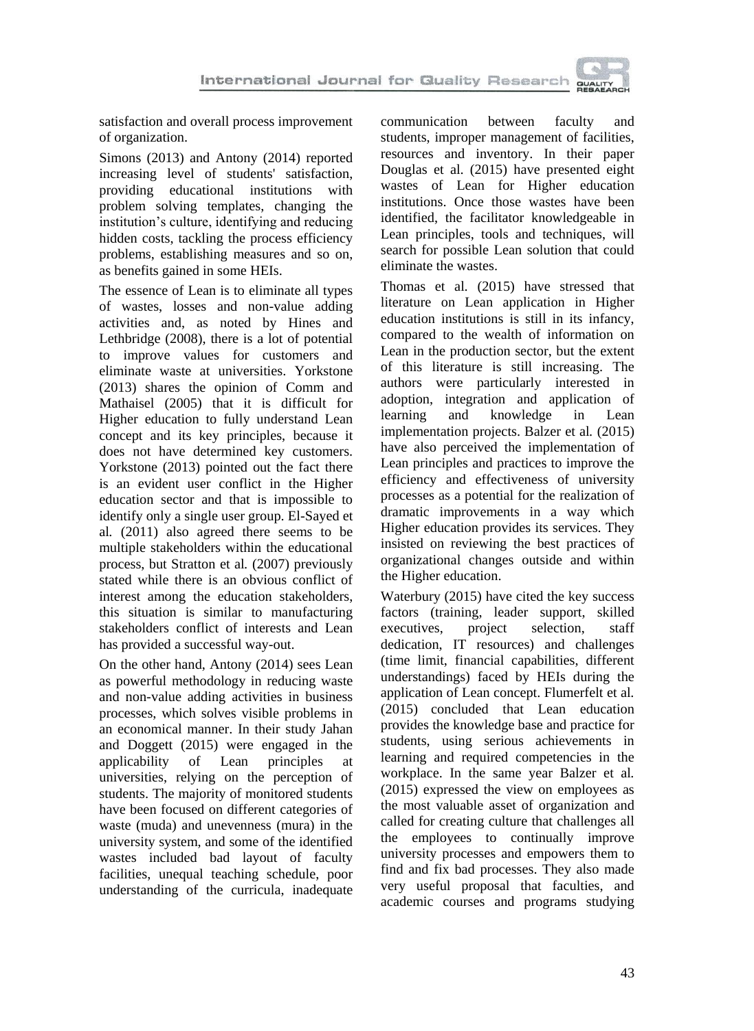

satisfaction and overall process improvement of organization.

Simons (2013) and Antony (2014) reported increasing level of students' satisfaction, providing educational institutions with problem solving templates, changing the institution's culture, identifying and reducing hidden costs, tackling the process efficiency problems, establishing measures and so on, as benefits gained in some HEIs.

The essence of Lean is to eliminate all types of wastes, losses and non-value adding activities and, as noted by Hines and Lethbridge (2008), there is a lot of potential to improve values for customers and eliminate waste at universities. Yorkstone (2013) shares the opinion of Comm and Mathaisel (2005) that it is difficult for Higher education to fully understand Lean concept and its key principles, because it does not have determined key customers. Yorkstone (2013) pointed out the fact there is an evident user conflict in the Higher education sector and that is impossible to identify only a single user group. El-Sayed et al*.* (2011) also agreed there seems to be multiple stakeholders within the educational process, but Stratton et al*.* (2007) previously stated while there is an obvious conflict of interest among the education stakeholders, this situation is similar to manufacturing stakeholders conflict of interests and Lean has provided a successful way-out.

On the other hand, Antony (2014) sees Lean as powerful methodology in reducing waste and non-value adding activities in business processes, which solves visible problems in an economical manner. In their study Jahan and Doggett (2015) were engaged in the applicability of Lean principles at universities, relying on the perception of students. The majority of monitored students have been focused on different categories of waste (muda) and unevenness (mura) in the university system, and some of the identified wastes included bad layout of faculty facilities, unequal teaching schedule, poor understanding of the curricula, inadequate

communication between faculty and students, improper management of facilities, resources and inventory. In their paper Douglas et al. (2015) have presented eight wastes of Lean for Higher education institutions. Once those wastes have been identified, the facilitator knowledgeable in Lean principles, tools and techniques, will search for possible Lean solution that could eliminate the wastes.

Thomas et al*.* (2015) have stressed that literature on Lean application in Higher education institutions is still in its infancy, compared to the wealth of information on Lean in the production sector, but the extent of this literature is still increasing. The authors were particularly interested in adoption, integration and application of<br>learning and knowledge in Lean learning and knowledge in Lean implementation projects. Balzer et al*.* (2015) have also perceived the implementation of Lean principles and practices to improve the efficiency and effectiveness of university processes as a potential for the realization of dramatic improvements in a way which Higher education provides its services. They insisted on reviewing the best practices of organizational changes outside and within the Higher education.

Waterbury (2015) have cited the key success factors (training, leader support, skilled executives, project selection, staff dedication, IT resources) and challenges (time limit, financial capabilities, different understandings) faced by HEIs during the application of Lean concept. Flumerfelt et al*.* (2015) concluded that Lean education provides the knowledge base and practice for students, using serious achievements in learning and required competencies in the workplace. In the same year Balzer et al*.* (2015) expressed the view on employees as the most valuable asset of organization and called for creating culture that challenges all the employees to continually improve university processes and empowers them to find and fix bad processes. They also made very useful proposal that faculties, and academic courses and programs studying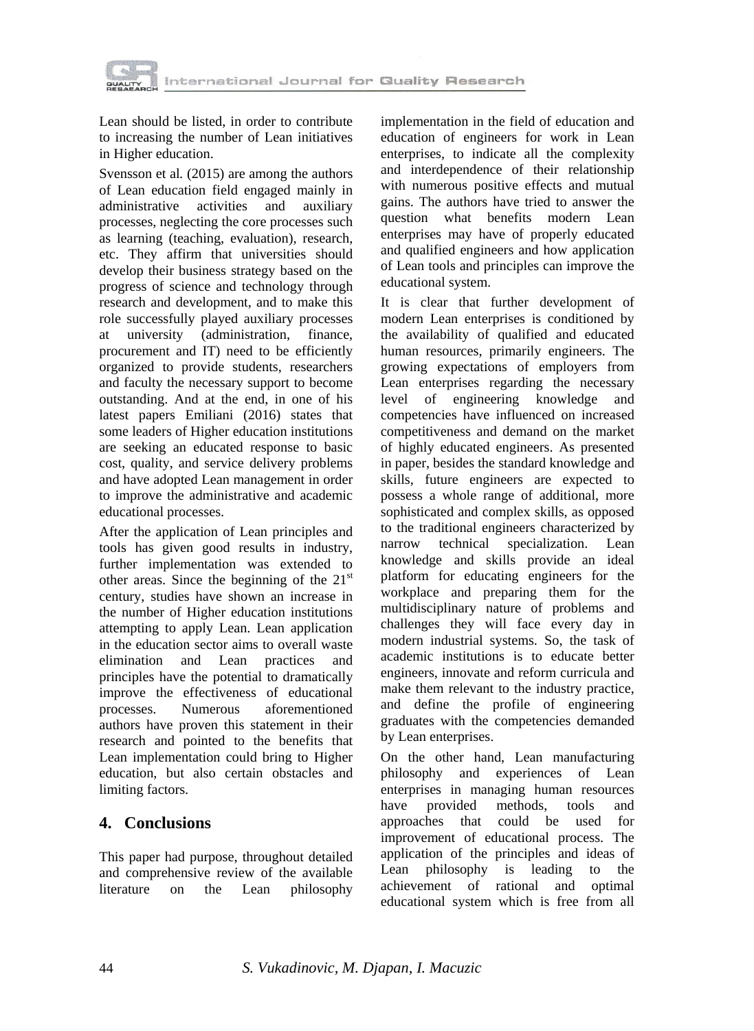

Lean should be listed, in order to contribute to increasing the number of Lean initiatives in Higher education.

Svensson et al*.* (2015) are among the authors of Lean education field engaged mainly in administrative activities and auxiliary processes, neglecting the core processes such as learning (teaching, evaluation), research, etc. They affirm that universities should develop their business strategy based on the progress of science and technology through research and development, and to make this role successfully played auxiliary processes at university (administration, finance, procurement and IT) need to be efficiently organized to provide students, researchers and faculty the necessary support to become outstanding. And at the end, in one of his latest papers Emiliani (2016) states that some leaders of Higher education institutions are seeking an educated response to basic cost, quality, and service delivery problems and have adopted Lean management in order to improve the administrative and academic educational processes.

After the application of Lean principles and tools has given good results in industry, further implementation was extended to other areas. Since the beginning of the  $21<sup>st</sup>$ century, studies have shown an increase in the number of Higher education institutions attempting to apply Lean. Lean application in the education sector aims to overall waste elimination and Lean practices and principles have the potential to dramatically improve the effectiveness of educational processes. Numerous aforementioned authors have proven this statement in their research and pointed to the benefits that Lean implementation could bring to Higher education, but also certain obstacles and limiting factors.

## **4. Conclusions**

This paper had purpose, throughout detailed and comprehensive review of the available literature on the Lean philosophy

implementation in the field of education and education of engineers for work in Lean enterprises, to indicate all the complexity and interdependence of their relationship with numerous positive effects and mutual gains. The authors have tried to answer the question what benefits modern Lean enterprises may have of properly educated and qualified engineers and how application of Lean tools and principles can improve the educational system.

It is clear that further development of modern Lean enterprises is conditioned by the availability of qualified and educated human resources, primarily engineers. The growing expectations of employers from Lean enterprises regarding the necessary level of engineering knowledge and competencies have influenced on increased competitiveness and demand on the market of highly educated engineers. As presented in paper, besides the standard knowledge and skills, future engineers are expected to possess a whole range of additional, more sophisticated and complex skills, as opposed to the traditional engineers characterized by narrow technical specialization. Lean knowledge and skills provide an ideal platform for educating engineers for the workplace and preparing them for the multidisciplinary nature of problems and challenges they will face every day in modern industrial systems. So, the task of academic institutions is to educate better engineers, innovate and reform curricula and make them relevant to the industry practice, and define the profile of engineering graduates with the competencies demanded by Lean enterprises.

On the other hand, Lean manufacturing philosophy and experiences of Lean enterprises in managing human resources have provided methods, tools and approaches that could be used for improvement of educational process. The application of the principles and ideas of Lean philosophy is leading to the achievement of rational and optimal educational system which is free from all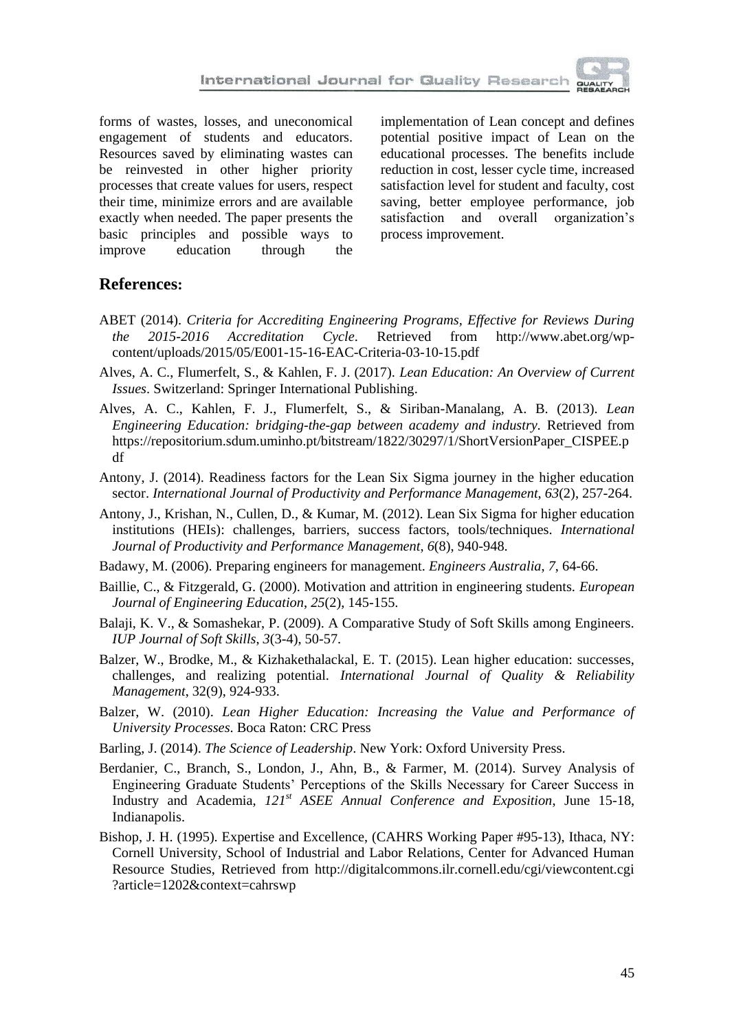forms of wastes, losses, and uneconomical engagement of students and educators. Resources saved by eliminating wastes can be reinvested in other higher priority processes that create values for users, respect their time, minimize errors and are available exactly when needed. The paper presents the basic principles and possible ways to improve education through the

implementation of Lean concept and defines potential positive impact of Lean on the educational processes. The benefits include reduction in cost, lesser cycle time, increased satisfaction level for student and faculty, cost saving, better employee performance, job satisfaction and overall organization's process improvement.

#### **References:**

- ABET (2014). *Criteria for Accrediting Engineering Programs, Effective for Reviews During the 2015-2016 Accreditation Cycle*. Retrieved from http://www.abet.org/wpcontent/uploads/2015/05/E001-15-16-EAC-Criteria-03-10-15.pdf
- Alves, A. C., Flumerfelt, S., & Kahlen, F. J. (2017). *Lean Education: An Overview of Current Issues*. Switzerland: Springer International Publishing.
- Alves, A. C., Kahlen, F. J., Flumerfelt, S., & Siriban-Manalang, A. B. (2013). *Lean Engineering Education: bridging-the-gap between academy and industry.* Retrieved from https://repositorium.sdum.uminho.pt/bitstream/1822/30297/1/ShortVersionPaper\_CISPEE.p df
- Antony, J. (2014). Readiness factors for the Lean Six Sigma journey in the higher education sector. *International Journal of Productivity and Performance Management*, *63*(2), 257-264.
- Antony, J., Krishan, N., Cullen, D., & Kumar, M. (2012). Lean Six Sigma for higher education institutions (HEIs): challenges, barriers, success factors, tools/techniques. *International Journal of Productivity and Performance Management*, *6*(8), 940-948.
- Badawy, M. (2006). Preparing engineers for management. *Engineers Australia*, *7*, 64-66.
- Baillie, C., & Fitzgerald, G. (2000). Motivation and attrition in engineering students. *European Journal of Engineering Education*, *25*(2), 145-155.
- Balaji, K. V., & Somashekar, P. (2009). A Comparative Study of Soft Skills among Engineers. *IUP Journal of Soft Skills*, *3*(3-4), 50-57.
- Balzer, W., Brodke, M., & Kizhakethalackal, E. T. (2015). Lean higher education: successes, challenges, and realizing potential. *International Journal of Quality & Reliability Management*, 32(9), 924-933.
- Balzer, W. (2010). *Lean Higher Education: Increasing the Value and Performance of University Processes*. Boca Raton: CRC Press
- Barling, J. (2014). *The Science of Leadership*. New York: Oxford University Press.
- Berdanier, C., Branch, S., London, J., Ahn, B., & Farmer, M. (2014). Survey Analysis of Engineering Graduate Students' Perceptions of the Skills Necessary for Career Success in Industry and Academia, *121st ASEE Annual Conference and Exposition*, June 15-18, Indianapolis.
- Bishop, J. H. (1995). Expertise and Excellence, (CAHRS Working Paper #95-13), Ithaca, NY: Cornell University, School of Industrial and Labor Relations, Center for Advanced Human Resource Studies, Retrieved from http://digitalcommons.ilr.cornell.edu/cgi/viewcontent.cgi ?article=1202&context=cahrswp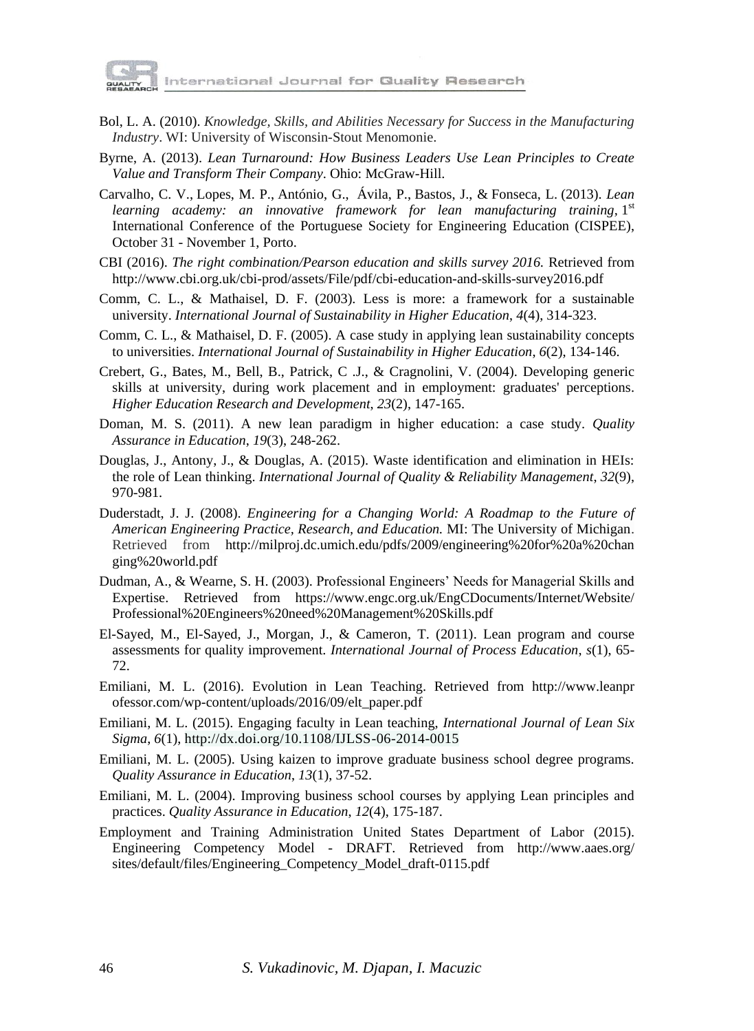

- Bol, L. A. (2010). *Knowledge, Skills, and Abilities Necessary for Success in the Manufacturing Industry*. WI: University of Wisconsin-Stout Menomonie.
- Byrne, A. (2013). *Lean Turnaround: How Business Leaders Use Lean Principles to Create Value and Transform Their Company*. Ohio: McGraw-Hill.
- Carvalho, C. V., Lopes, M. P., António, G., Ávila, P., Bastos, J., & Fonseca, L. (2013). *Lean*  learning academy: an innovative framework for lean manufacturing training, l<sup>st</sup> International Conference of the Portuguese Society for Engineering Education (CISPEE), October 31 - November 1, Porto.
- CBI (2016). *The right combination/Pearson education and skills survey 2016*. Retrieved from http://www.cbi.org.uk/cbi-prod/assets/File/pdf/cbi-education-and-skills-survey2016.pdf
- Comm, C. L., & Mathaisel, D. F. (2003). Less is more: a framework for a sustainable university. *International Journal of Sustainability in Higher Education*, *4*(4), 314-323.
- Comm, C. L., & Mathaisel, D. F. (2005). A case study in applying lean sustainability concepts to universities. *International Journal of Sustainability in Higher Education*, *6*(2), 134-146.
- Crebert, G., Bates, M., Bell, B., Patrick, C .J., & Cragnolini, V. (2004). Developing generic skills at university, during work placement and in employment: graduates' perceptions. *Higher Education Research and Development*, *23*(2), 147-165.
- Doman, M. S. (2011). A new lean paradigm in higher education: a case study. *Quality Assurance in Education*, *19*(3), 248-262.
- Douglas, J., Antony, J., & Douglas, A. (2015). Waste identification and elimination in HEIs: the role of Lean thinking. *International Journal of Quality & Reliability Management*, *32*(9), 970-981.
- Duderstadt, J. J. (2008). *Engineering for a Changing World: A Roadmap to the Future of American Engineering Practice, Research, and Education.* MI: The University of Michigan. Retrieved from http://milproj.dc.umich.edu/pdfs/2009/engineering%20for%20a%20chan ging%20world.pdf
- Dudman, A., & Wearne, S. H. (2003). Professional Engineers' Needs for Managerial Skills and Expertise. Retrieved from https://www.engc.org.uk/EngCDocuments/Internet/Website/ Professional%20Engineers%20need%20Management%20Skills.pdf
- El-Sayed, M., El-Sayed, J., Morgan, J., & Cameron, T. (2011). Lean program and course assessments for quality improvement. *International Journal of Process Education*, *s*(1), 65- 72.
- Emiliani, M. L. (2016). Evolution in Lean Teaching. Retrieved from http://www.leanpr ofessor.com/wp-content/uploads/2016/09/elt\_paper.pdf
- Emiliani, M. L. (2015). Engaging faculty in Lean teaching, *International Journal of Lean Six Sigma*, *6*(1), http://dx.doi.org/10.1108/IJLSS-06-2014-0015
- Emiliani, M. L. (2005). Using kaizen to improve graduate business school degree programs. *Quality Assurance in Education*, *13*(1), 37-52.
- Emiliani, M. L. (2004). Improving business school courses by applying Lean principles and practices. *Quality Assurance in Education*, *12*(4), 175-187.
- Employment and Training Administration United States Department of Labor (2015). Engineering Competency Model - DRAFT. Retrieved from http://www.aaes.org/ sites/default/files/Engineering\_Competency\_Model\_draft-0115.pdf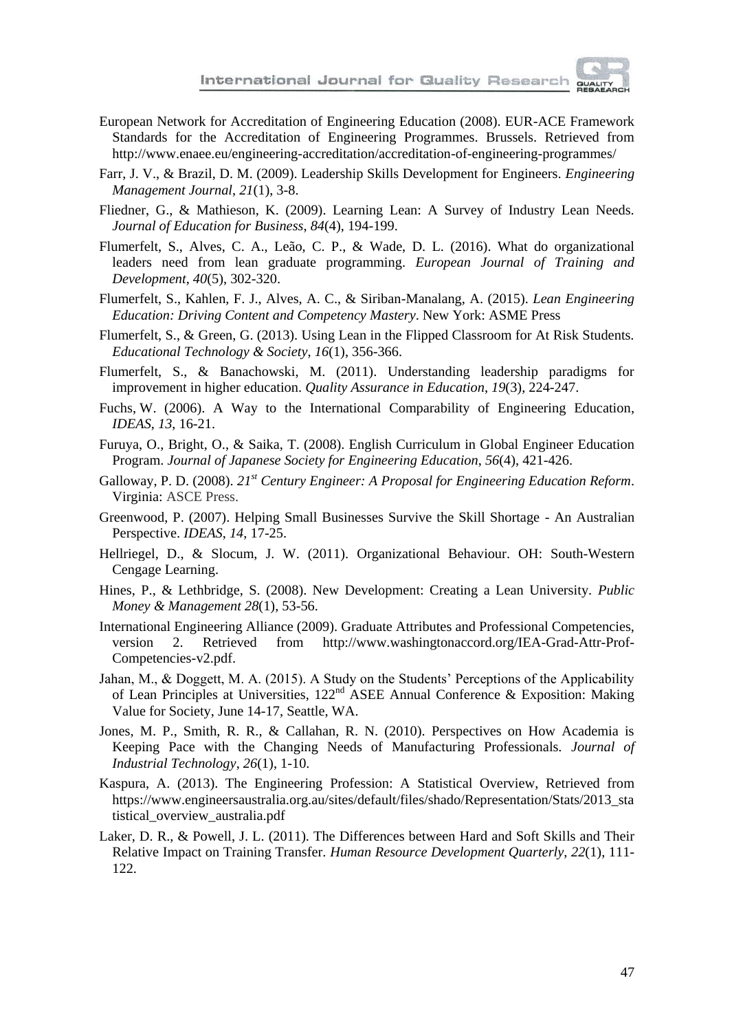

- European Network for Accreditation of Engineering Education (2008). EUR-ACE Framework Standards for the Accreditation of Engineering Programmes. Brussels. Retrieved from http://www.enaee.eu/engineering-accreditation/accreditation-of-engineering-programmes/
- Farr, J. V., & Brazil, D. M. (2009). Leadership Skills Development for Engineers. *Engineering Management Journal*, *21*(1), 3-8.
- Fliedner, G., & Mathieson, K. (2009). Learning Lean: A Survey of Industry Lean Needs. *Journal of Education for Business*, *84*(4), 194-199.
- Flumerfelt, S., Alves, C. A., Leão, C. P., & Wade, D. L. (2016). What do organizational leaders need from lean graduate programming. *European Journal of Training and Development*, *40*(5), 302-320.
- Flumerfelt, S., Kahlen, F. J., Alves, A. C., & Siriban-Manalang, A. (2015). *Lean Engineering Education: Driving Content and Competency Mastery*. New York: ASME Press
- Flumerfelt, S., & Green, G. (2013). Using Lean in the Flipped Classroom for At Risk Students. *Educational Technology & Society*, *16*(1), 356-366.
- Flumerfelt, S., & Banachowski, M. (2011). Understanding leadership paradigms for improvement in higher education. *Quality Assurance in Education*, *19*(3), 224-247.
- Fuchs, W. (2006). A Way to the International Comparability of Engineering Education, *IDEAS*, *13*, 16-21.
- Furuya, O., Bright, O., & Saika, T. (2008). English Curriculum in Global Engineer Education Program. *Journal of Japanese Society for Engineering Education*, *56*(4), 421-426.
- Galloway, P. D. (2008). *21st Century Engineer: A Proposal for Engineering Education Reform*. Virginia: ASCE Press.
- Greenwood, P. (2007). Helping Small Businesses Survive the Skill Shortage An Australian Perspective. *IDEAS*, *14*, 17-25.
- Hellriegel, D., & Slocum, J. W. (2011). Organizational Behaviour. OH: South-Western Cengage Learning.
- Hines, P., & Lethbridge, S. (2008). New Development: Creating a Lean University. *Public Money & Management 28*(1), 53-56.
- International Engineering Alliance (2009). Graduate Attributes and Professional Competencies, version 2. Retrieved from http://www.washingtonaccord.org/IEA-Grad-Attr-Prof-Competencies-v2.pdf.
- Jahan, M., & Doggett, M. A. (2015). A Study on the Students' Perceptions of the Applicability of Lean Principles at Universities, 122<sup>nd</sup> ASEE Annual Conference & Exposition: Making Value for Society, June 14-17, Seattle, WA.
- Jones, M. P., Smith, R. R., & Callahan, R. N. (2010). Perspectives on How Academia is Keeping Pace with the Changing Needs of Manufacturing Professionals. *Journal of Industrial Technology*, *26*(1), 1-10.
- Kaspura, A. (2013). The Engineering Profession: A Statistical Overview, Retrieved from https://www.engineersaustralia.org.au/sites/default/files/shado/Representation/Stats/2013\_sta tistical\_overview\_australia.pdf
- Laker, D. R., & Powell, J. L. (2011). The Differences between Hard and Soft Skills and Their Relative Impact on Training Transfer. *Human Resource Development Quarterly*, *22*(1), 111- 122.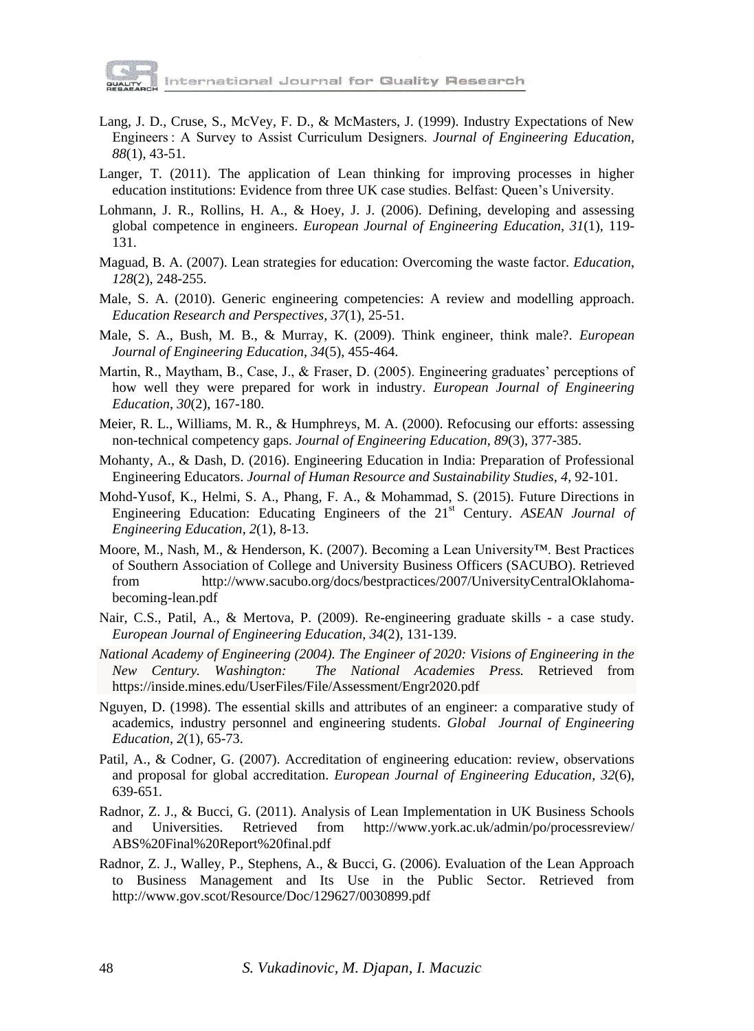

International Journal for Quality Research

- Lang, J. D., Cruse, S., McVey, F. D., & McMasters, J. (1999). Industry Expectations of New Engineers : A Survey to Assist Curriculum Designers. *Journal of Engineering Education*, *88*(1), 43-51.
- Langer, T. (2011). The application of Lean thinking for improving processes in higher education institutions: Evidence from three UK case studies. Belfast: Queen's University.
- Lohmann, J. R., Rollins, H. A., & Hoey, J. J. (2006). Defining, developing and assessing global competence in engineers. *European Journal of Engineering Education*, *31*(1), 119- 131.
- Maguad, B. A. (2007). Lean strategies for education: Overcoming the waste factor. *Education*, *128*(2), 248-255.
- Male, S. A. (2010). Generic engineering competencies: A review and modelling approach. *Education Research and Perspectives*, *37*(1), 25-51.
- Male, S. A., Bush, M. B., & Murray, K. (2009). Think engineer, think male?. *European Journal of Engineering Education*, *34*(5), 455-464.
- Martin, R., Maytham, B., Case, J., & Fraser, D. (2005). Engineering graduates' perceptions of how well they were prepared for work in industry. *European Journal of Engineering Education*, *30*(2), 167-180.
- Meier, R. L., Williams, M. R., & Humphreys, M. A. (2000). Refocusing our efforts: assessing non-technical competency gaps. *Journal of Engineering Education*, *89*(3), 377-385.
- Mohanty, A., & Dash, D. (2016). Engineering Education in India: Preparation of Professional Engineering Educators. *Journal of Human Resource and Sustainability Studies*, *4*, 92-101.
- Mohd-Yusof, K., Helmi, S. A., Phang, F. A., & Mohammad, S. (2015). Future Directions in Engineering Education: Educating Engineers of the 21<sup>st</sup> Century. *ASEAN Journal of Engineering Education*, *2*(1), 8-13.
- Moore, M., Nash, M., & Henderson, K. (2007). Becoming a Lean University™. Best Practices of Southern Association of College and University Business Officers (SACUBO). Retrieved from http://www.sacubo.org/docs/bestpractices/2007/UniversityCentralOklahomabecoming-lean.pdf
- Nair, C.S., Patil, A., & Mertova, P. (2009). Re-engineering graduate skills a case study*. European Journal of Engineering Education*, *34*(2), 131-139.
- *National Academy of Engineering (2004). The Engineer of 2020: Visions of Engineering in the New Century. Washington: The National Academies Press.* Retrieved from https://inside.mines.edu/UserFiles/File/Assessment/Engr2020.pdf
- Nguyen, D. (1998). The essential skills and attributes of an engineer: a comparative study of academics, industry personnel and engineering students. *Global Journal of Engineering Education*, *2*(1), 65-73.
- Patil, A., & Codner, G. (2007). Accreditation of engineering education: review, observations and proposal for global accreditation. *European Journal of Engineering Education*, *32*(6), 639-651.
- Radnor, Z. J., & Bucci, G. (2011). Analysis of Lean Implementation in UK Business Schools and Universities. Retrieved from http://www.york.ac.uk/admin/po/processreview/ ABS%20Final%20Report%20final.pdf
- Radnor, Z. J., Walley, P., Stephens, A., & Bucci, G. (2006). Evaluation of the Lean Approach to Business Management and Its Use in the Public Sector. Retrieved from http://www.gov.scot/Resource/Doc/129627/0030899.pdf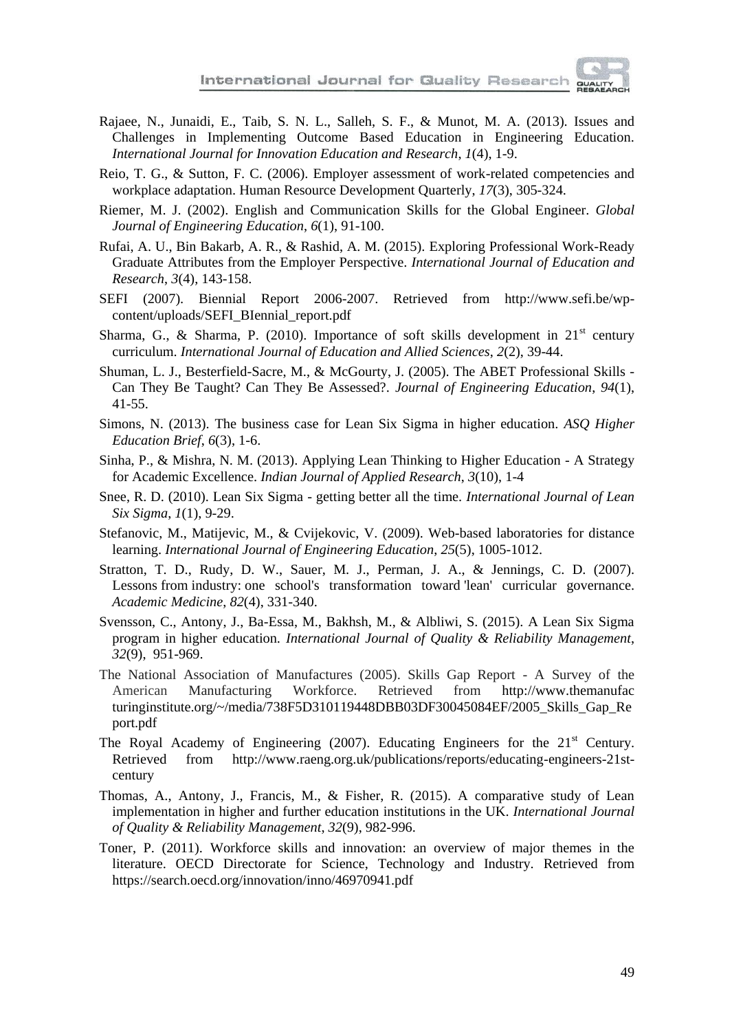

- Rajaee, N., Junaidi, E., Taib, S. N. L., Salleh, S. F., & Munot, M. A. (2013). Issues and Challenges in Implementing Outcome Based Education in Engineering Education. *International Journal for Innovation Education and Research*, *1*(4), 1-9.
- Reio, T. G., & Sutton, F. C. (2006). Employer assessment of work-related competencies and workplace adaptation. Human Resource Development Quarterly, *17*(3), 305-324.
- Riemer, M. J. (2002). English and Communication Skills for the Global Engineer. *Global Journal of Engineering Education*, *6*(1), 91-100.
- Rufai, A. U., Bin Bakarb, A. R., & Rashid, A. M. (2015). Exploring Professional Work-Ready Graduate Attributes from the Employer Perspective. *International Journal of Education and Research*, *3*(4), 143-158.
- SEFI (2007). Biennial Report 2006-2007. Retrieved from http://www.sefi.be/wpcontent/uploads/SEFI\_BIennial\_report.pdf
- Sharma, G., & Sharma, P. (2010). Importance of soft skills development in  $21<sup>st</sup>$  century curriculum. *International Journal of Education and Allied Sciences*, *2*(2), 39-44.
- Shuman, L. J., Besterfield-Sacre, M., & McGourty, J. (2005). The ABET Professional Skills Can They Be Taught? Can They Be Assessed?. *Journal of Engineering Education*, *94*(1), 41-55.
- Simons, N. (2013). The business case for Lean Six Sigma in higher education. *ASQ Higher Education Brief*, *6*(3), 1-6.
- Sinha, P., & Mishra, N. M. (2013). Applying Lean Thinking to Higher Education A Strategy for Academic Excellence. *Indian Journal of Applied Research*, *3*(10), 1-4
- Snee, R. D. (2010). Lean Six Sigma getting better all the time. *International Journal of Lean Six Sigma*, *1*(1), 9-29.
- Stefanovic, M., Matijevic, M., & Cvijekovic, V. (2009). Web-based laboratories for distance learning. *International Journal of Engineering Education*, *25*(5), 1005-1012.
- Stratton, T. D., Rudy, D. W., Sauer, M. J., Perman, J. A., & Jennings, C. D. (2007). Lessons from industry: one school's transformation toward 'lean' curricular governance. *Academic Medicine*, *82*(4), 331-340.
- Svensson, C., Antony, J., Ba-Essa, M., Bakhsh, M., & Albliwi, S. (2015). A Lean Six Sigma program in higher education. *International Journal of Quality & Reliability Management*, *32*(9), 951-969.
- The National Association of Manufactures (2005). Skills Gap Report A Survey of the American Manufacturing Workforce. Retrieved from http://www.themanufac turinginstitute.org/~/media/738F5D310119448DBB03DF30045084EF/2005\_Skills\_Gap\_Re port.pdf
- The Royal Academy of Engineering (2007). Educating Engineers for the  $21<sup>st</sup>$  Century. Retrieved from http://www.raeng.org.uk/publications/reports/educating-engineers-21stcentury
- Thomas, A., Antony, J., Francis, M., & Fisher, R. (2015). A comparative study of Lean implementation in higher and further education institutions in the UK. *International Journal of Quality & Reliability Management*, *32*(9), 982-996.
- Toner, P. (2011). Workforce skills and innovation: an overview of major themes in the literature. OECD Directorate for Science, Technology and Industry. Retrieved from https://search.oecd.org/innovation/inno/46970941.pdf